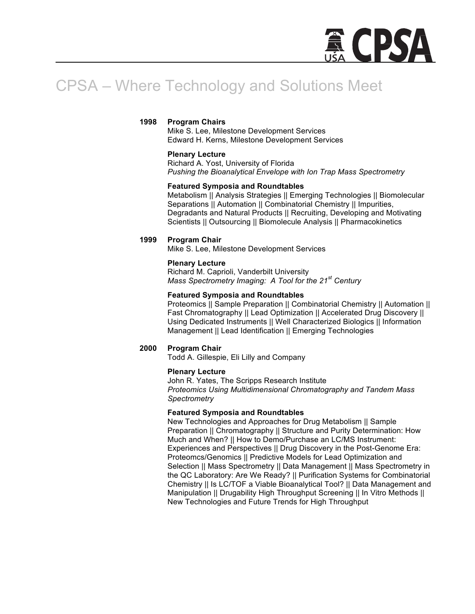

# CPSA – Where Technology and Solutions Meet

## **1998 Program Chairs**

Mike S. Lee, Milestone Development Services Edward H. Kerns, Milestone Development Services

## **Plenary Lecture**

Richard A. Yost, University of Florida *Pushing the Bioanalytical Envelope with Ion Trap Mass Spectrometry*

## **Featured Symposia and Roundtables**

Metabolism || Analysis Strategies || Emerging Technologies || Biomolecular Separations || Automation || Combinatorial Chemistry || Impurities, Degradants and Natural Products || Recruiting, Developing and Motivating Scientists || Outsourcing || Biomolecule Analysis || Pharmacokinetics

## **1999 Program Chair**

Mike S. Lee, Milestone Development Services

## **Plenary Lecture**

Richard M. Caprioli, Vanderbilt University *Mass Spectrometry Imaging: A Tool for the 21st Century*

## **Featured Symposia and Roundtables**

Proteomics || Sample Preparation || Combinatorial Chemistry || Automation || Fast Chromatography || Lead Optimization || Accelerated Drug Discovery || Using Dedicated Instruments || Well Characterized Biologics || Information Management || Lead Identification || Emerging Technologies

## **2000 Program Chair**

Todd A. Gillespie, Eli Lilly and Company

## **Plenary Lecture**

John R. Yates, The Scripps Research Institute *Proteomics Using Multidimensional Chromatography and Tandem Mass Spectrometry*

## **Featured Symposia and Roundtables**

New Technologies and Approaches for Drug Metabolism || Sample Preparation || Chromatography || Structure and Purity Determination: How Much and When? || How to Demo/Purchase an LC/MS Instrument: Experiences and Perspectives || Drug Discovery in the Post-Genome Era: Proteomcs/Genomics || Predictive Models for Lead Optimization and Selection || Mass Spectrometry || Data Management || Mass Spectrometry in the QC Laboratory: Are We Ready? || Purification Systems for Combinatorial Chemistry || Is LC/TOF a Viable Bioanalytical Tool? || Data Management and Manipulation || Drugability High Throughput Screening || In Vitro Methods || New Technologies and Future Trends for High Throughput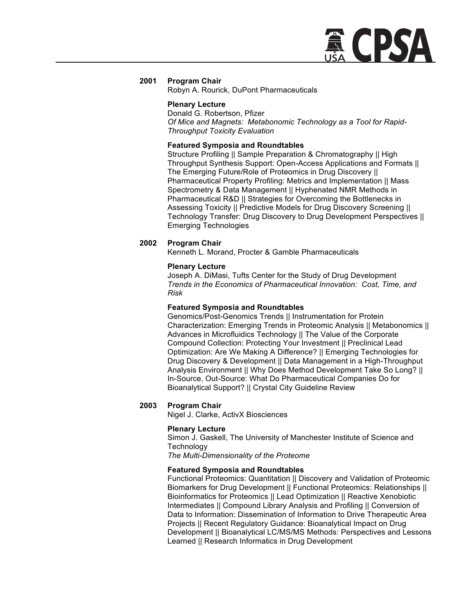

Robyn A. Rourick, DuPont Pharmaceuticals

#### **Plenary Lecture**

Donald G. Robertson, Pfizer *Of Mice and Magnets: Metabonomic Technology as a Tool for Rapid-Throughput Toxicity Evaluation*

## **Featured Symposia and Roundtables**

Structure Profiling || Sample Preparation & Chromatography || High Throughput Synthesis Support: Open-Access Applications and Formats || The Emerging Future/Role of Proteomics in Drug Discovery || Pharmaceutical Property Profiling: Metrics and Implementation || Mass Spectrometry & Data Management || Hyphenated NMR Methods in Pharmaceutical R&D || Strategies for Overcoming the Bottlenecks in Assessing Toxicity || Predictive Models for Drug Discovery Screening || Technology Transfer: Drug Discovery to Drug Development Perspectives || Emerging Technologies

## **2002 Program Chair**

Kenneth L. Morand, Procter & Gamble Pharmaceuticals

## **Plenary Lecture**

Joseph A. DiMasi, Tufts Center for the Study of Drug Development *Trends in the Economics of Pharmaceutical Innovation: Cost, Time, and Risk*

## **Featured Symposia and Roundtables**

Genomics/Post-Genomics Trends || Instrumentation for Protein Characterization: Emerging Trends in Proteomic Analysis || Metabonomics || Advances in Microfluidics Technology || The Value of the Corporate Compound Collection: Protecting Your Investment || Preclinical Lead Optimization: Are We Making A Difference? || Emerging Technologies for Drug Discovery & Development || Data Management in a High-Throughput Analysis Environment || Why Does Method Development Take So Long? || In-Source, Out-Source: What Do Pharmaceutical Companies Do for Bioanalytical Support? || Crystal City Guideline Review

## **2003 Program Chair**

Nigel J. Clarke, ActivX Biosciences

## **Plenary Lecture**

Simon J. Gaskell, The University of Manchester Institute of Science and **Technology** 

*The Multi-Dimensionality of the Proteome*

## **Featured Symposia and Roundtables**

Functional Proteomics: Quantitation || Discovery and Validation of Proteomic Biomarkers for Drug Development || Functional Proteomics: Relationships || Bioinformatics for Proteomics || Lead Optimization || Reactive Xenobiotic Intermediates || Compound Library Analysis and Profiling || Conversion of Data to Information: Dissemination of Information to Drive Therapeutic Area Projects || Recent Regulatory Guidance: Bioanalytical Impact on Drug Development || Bioanalytical LC/MS/MS Methods: Perspectives and Lessons Learned || Research Informatics in Drug Development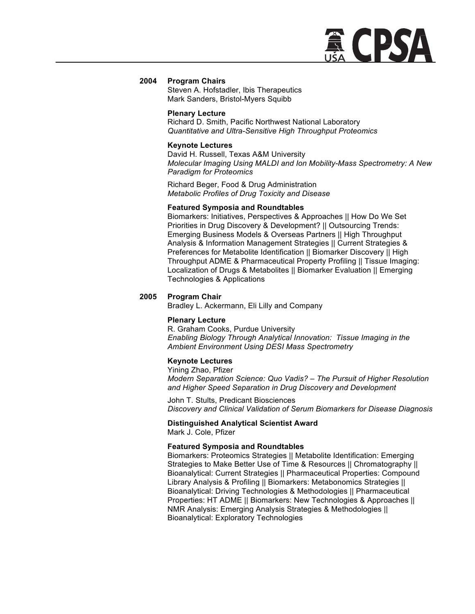

Steven A. Hofstadler, Ibis Therapeutics Mark Sanders, Bristol-Myers Squibb

#### **Plenary Lecture**

Richard D. Smith, Pacific Northwest National Laboratory *Quantitative and Ultra-Sensitive High Throughput Proteomics*

#### **Keynote Lectures**

David H. Russell, Texas A&M University *Molecular Imaging Using MALDI and Ion Mobility-Mass Spectrometry: A New Paradigm for Proteomics*

Richard Beger, Food & Drug Administration *Metabolic Profiles of Drug Toxicity and Disease*

#### **Featured Symposia and Roundtables**

Biomarkers: Initiatives, Perspectives & Approaches || How Do We Set Priorities in Drug Discovery & Development? || Outsourcing Trends: Emerging Business Models & Overseas Partners || High Throughput Analysis & Information Management Strategies || Current Strategies & Preferences for Metabolite Identification || Biomarker Discovery || High Throughput ADME & Pharmaceutical Property Profiling || Tissue Imaging: Localization of Drugs & Metabolites || Biomarker Evaluation || Emerging Technologies & Applications

#### **2005 Program Chair**

Bradley L. Ackermann, Eli Lilly and Company

#### **Plenary Lecture**

R. Graham Cooks, Purdue University *Enabling Biology Through Analytical Innovation: Tissue Imaging in the Ambient Environment Using DESI Mass Spectrometry*

#### **Keynote Lectures**

Yining Zhao, Pfizer *Modern Separation Science: Quo Vadis? – The Pursuit of Higher Resolution and Higher Speed Separation in Drug Discovery and Development*

John T. Stults, Predicant Biosciences *Discovery and Clinical Validation of Serum Biomarkers for Disease Diagnosis*

#### **Distinguished Analytical Scientist Award** Mark J. Cole, Pfizer

#### **Featured Symposia and Roundtables**

Biomarkers: Proteomics Strategies || Metabolite Identification: Emerging Strategies to Make Better Use of Time & Resources || Chromatography || Bioanalytical: Current Strategies || Pharmaceutical Properties: Compound Library Analysis & Profiling || Biomarkers: Metabonomics Strategies || Bioanalytical: Driving Technologies & Methodologies || Pharmaceutical Properties: HT ADME || Biomarkers: New Technologies & Approaches || NMR Analysis: Emerging Analysis Strategies & Methodologies || Bioanalytical: Exploratory Technologies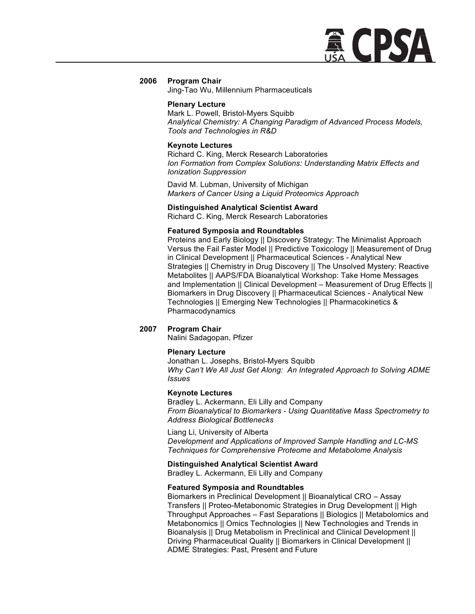

Jing-Tao Wu, Millennium Pharmaceuticals

#### **Plenary Lecture**

Mark L. Powell, Bristol-Myers Squibb *Analytical Chemistry: A Changing Paradigm of Advanced Process Models, Tools and Technologies in R&D*

#### **Keynote Lectures**

Richard C. King, Merck Research Laboratories *Ion Formation from Complex Solutions: Understanding Matrix Effects and Ionization Suppression*

David M. Lubman, University of Michigan *Markers of Cancer Using a Liquid Proteomics Approach*

## **Distinguished Analytical Scientist Award**

Richard C. King, Merck Research Laboratories

#### **Featured Symposia and Roundtables**

Proteins and Early Biology || Discovery Strategy: The Minimalist Approach Versus the Fail Faster Model || Predictive Toxicology || Measurement of Drug in Clinical Development || Pharmaceutical Sciences - Analytical New Strategies || Chemistry in Drug Discovery || The Unsolved Mystery: Reactive Metabolites || AAPS/FDA Bioanalytical Workshop: Take Home Messages and Implementation || Clinical Development – Measurement of Drug Effects || Biomarkers in Drug Discovery || Pharmaceutical Sciences - Analytical New Technologies || Emerging New Technologies || Pharmacokinetics & Pharmacodynamics

## **2007 Program Chair**

Nalini Sadagopan, Pfizer

#### **Plenary Lecture**

Jonathan L. Josephs, Bristol-Myers Squibb *Why Can't We All Just Get Along: An Integrated Approach to Solving ADME Issues*

#### **Keynote Lectures**

Bradley L. Ackermann, Eli Lilly and Company *From Bioanalytical to Biomarkers - Using Quantitative Mass Spectrometry to Address Biological Bottlenecks* 

Liang Li, University of Alberta *Development and Applications of Improved Sample Handling and LC-MS Techniques for Comprehensive Proteome and Metabolome Analysis* 

## **Distinguished Analytical Scientist Award**

Bradley L. Ackermann, Eli Lilly and Company

#### **Featured Symposia and Roundtables**

Biomarkers in Preclinical Development || Bioanalytical CRO – Assay Transfers || Proteo-Metabonomic Strategies in Drug Development || High Throughput Approaches – Fast Separations || Biologics || Metabolomics and Metabonomics || Omics Technologies || New Technologies and Trends in Bioanalysis || Drug Metabolism in Preclinical and Clinical Development || Driving Pharmaceutical Quality || Biomarkers in Clinical Development || ADME Strategies: Past, Present and Future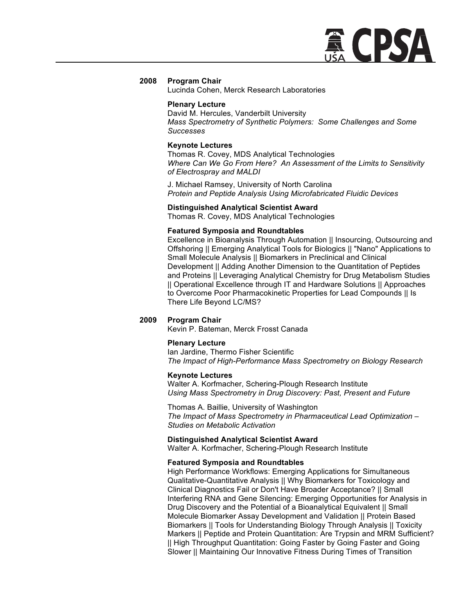

Lucinda Cohen, Merck Research Laboratories

#### **Plenary Lecture**

David M. Hercules, Vanderbilt University *Mass Spectrometry of Synthetic Polymers: Some Challenges and Some Successes*

#### **Keynote Lectures**

Thomas R. Covey, MDS Analytical Technologies *Where Can We Go From Here? An Assessment of the Limits to Sensitivity of Electrospray and MALDI*

J. Michael Ramsey, University of North Carolina *Protein and Peptide Analysis Using Microfabricated Fluidic Devices*

#### **Distinguished Analytical Scientist Award**

Thomas R. Covey, MDS Analytical Technologies

#### **Featured Symposia and Roundtables**

Excellence in Bioanalysis Through Automation || Insourcing, Outsourcing and Offshoring || Emerging Analytical Tools for Biologics || "Nano" Applications to Small Molecule Analysis || Biomarkers in Preclinical and Clinical Development || Adding Another Dimension to the Quantitation of Peptides and Proteins || Leveraging Analytical Chemistry for Drug Metabolism Studies || Operational Excellence through IT and Hardware Solutions || Approaches to Overcome Poor Pharmacokinetic Properties for Lead Compounds || Is There Life Beyond LC/MS?

## **2009 Program Chair**

Kevin P. Bateman, Merck Frosst Canada

#### **Plenary Lecture**

Ian Jardine, Thermo Fisher Scientific *The Impact of High-Performance Mass Spectrometry on Biology Research*

#### **Keynote Lectures**

Walter A. Korfmacher, Schering-Plough Research Institute *Using Mass Spectrometry in Drug Discovery: Past, Present and Future*

Thomas A. Baillie, University of Washington *The Impact of Mass Spectrometry in Pharmaceutical Lead Optimization – Studies on Metabolic Activation*

#### **Distinguished Analytical Scientist Award**

Walter A. Korfmacher, Schering-Plough Research Institute

#### **Featured Symposia and Roundtables**

High Performance Workflows: Emerging Applications for Simultaneous Qualitative-Quantitative Analysis || Why Biomarkers for Toxicology and Clinical Diagnostics Fail or Don't Have Broader Acceptance? || Small Interfering RNA and Gene Silencing: Emerging Opportunities for Analysis in Drug Discovery and the Potential of a Bioanalytical Equivalent || Small Molecule Biomarker Assay Development and Validation || Protein Based Biomarkers || Tools for Understanding Biology Through Analysis || Toxicity Markers || Peptide and Protein Quantitation: Are Trypsin and MRM Sufficient? || High Throughput Quantitation: Going Faster by Going Faster and Going Slower || Maintaining Our Innovative Fitness During Times of Transition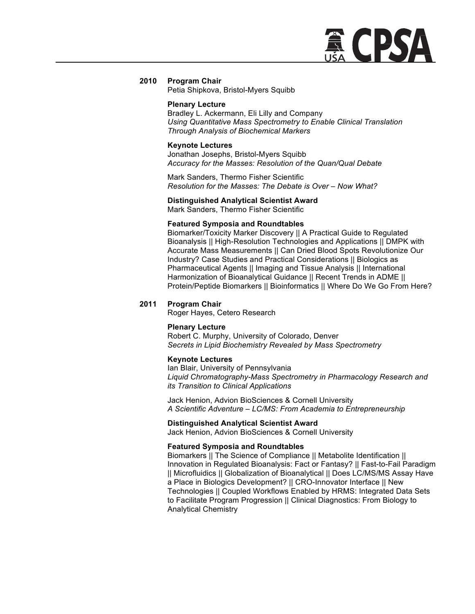

Petia Shipkova, Bristol-Myers Squibb

#### **Plenary Lecture**

Bradley L. Ackermann, Eli Lilly and Company *Using Quantitative Mass Spectrometry to Enable Clinical Translation Through Analysis of Biochemical Markers*

## **Keynote Lectures**

Jonathan Josephs, Bristol-Myers Squibb *Accuracy for the Masses: Resolution of the Quan/Qual Debate*

Mark Sanders, Thermo Fisher Scientific *Resolution for the Masses: The Debate is Over – Now What?*

## **Distinguished Analytical Scientist Award**

Mark Sanders, Thermo Fisher Scientific

## **Featured Symposia and Roundtables**

Biomarker/Toxicity Marker Discovery || A Practical Guide to Regulated Bioanalysis || High-Resolution Technologies and Applications || DMPK with Accurate Mass Measurements || Can Dried Blood Spots Revolutionize Our Industry? Case Studies and Practical Considerations || Biologics as Pharmaceutical Agents || Imaging and Tissue Analysis || International Harmonization of Bioanalytical Guidance || Recent Trends in ADME || Protein/Peptide Biomarkers || Bioinformatics || Where Do We Go From Here?

## **2011 Program Chair**

Roger Hayes, Cetero Research

#### **Plenary Lecture**

Robert C. Murphy, University of Colorado, Denver *Secrets in Lipid Biochemistry Revealed by Mass Spectrometry*

#### **Keynote Lectures**

Ian Blair, University of Pennsylvania *Liquid Chromatography-Mass Spectrometry in Pharmacology Research and its Transition to Clinical Applications*

Jack Henion, Advion BioSciences & Cornell University *A Scientific Adventure – LC/MS: From Academia to Entrepreneurship*

#### **Distinguished Analytical Scientist Award**

Jack Henion, Advion BioSciences & Cornell University

## **Featured Symposia and Roundtables**

Biomarkers || The Science of Compliance || Metabolite Identification || Innovation in Regulated Bioanalysis: Fact or Fantasy? || Fast-to-Fail Paradigm || Microfluidics || Globalization of Bioanalytical || Does LC/MS/MS Assay Have a Place in Biologics Development? || CRO-Innovator Interface || New Technologies || Coupled Workflows Enabled by HRMS: Integrated Data Sets to Facilitate Program Progression || Clinical Diagnostics: From Biology to Analytical Chemistry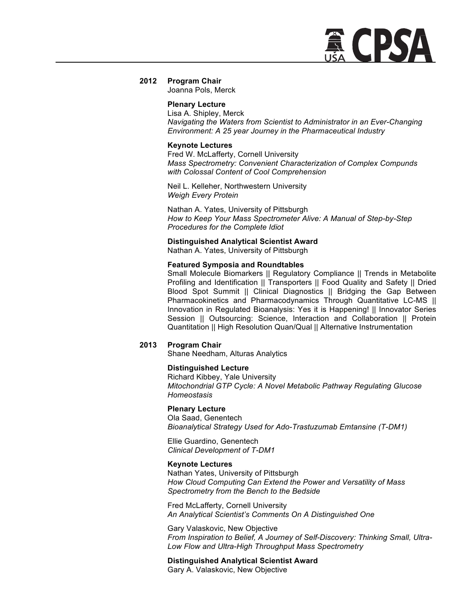

Joanna Pols, Merck

## **Plenary Lecture**

Lisa A. Shipley, Merck *Navigating the Waters from Scientist to Administrator in an Ever-Changing Environment: A 25 year Journey in the Pharmaceutical Industry*

## **Keynote Lectures**

Fred W. McLafferty, Cornell University *Mass Spectrometry: Convenient Characterization of Complex Compunds with Colossal Content of Cool Comprehension*

Neil L. Kelleher, Northwestern University *Weigh Every Protein*

Nathan A. Yates, University of Pittsburgh *How to Keep Your Mass Spectrometer Alive: A Manual of Step-by-Step Procedures for the Complete Idiot*

## **Distinguished Analytical Scientist Award**

Nathan A. Yates, University of Pittsburgh

## **Featured Symposia and Roundtables**

Small Molecule Biomarkers || Regulatory Compliance || Trends in Metabolite Profiling and Identification || Transporters || Food Quality and Safety || Dried Blood Spot Summit || Clinical Diagnostics || Bridging the Gap Between Pharmacokinetics and Pharmacodynamics Through Quantitative LC-MS || Innovation in Regulated Bioanalysis: Yes it is Happening! || Innovator Series Session || Outsourcing: Science, Interaction and Collaboration || Protein Quantitation || High Resolution Quan/Qual || Alternative Instrumentation

## **2013 Program Chair**

Shane Needham, Alturas Analytics

## **Distinguished Lecture**

Richard Kibbey, Yale University *Mitochondrial GTP Cycle: A Novel Metabolic Pathway Regulating Glucose Homeostasis*

## **Plenary Lecture**

Ola Saad, Genentech *Bioanalytical Strategy Used for Ado-Trastuzumab Emtansine (T-DM1)*

Ellie Guardino, Genentech *Clinical Development of T-DM1*

#### **Keynote Lectures**

Nathan Yates, University of Pittsburgh *How Cloud Computing Can Extend the Power and Versatility of Mass Spectrometry from the Bench to the Bedside*

Fred McLafferty, Cornell University *An Analytical Scientist's Comments On A Distinguished One*

Gary Valaskovic, New Objective *From Inspiration to Belief, A Journey of Self-Discovery: Thinking Small, Ultra-Low Flow and Ultra-High Throughput Mass Spectrometry*

**Distinguished Analytical Scientist Award** Gary A. Valaskovic, New Objective